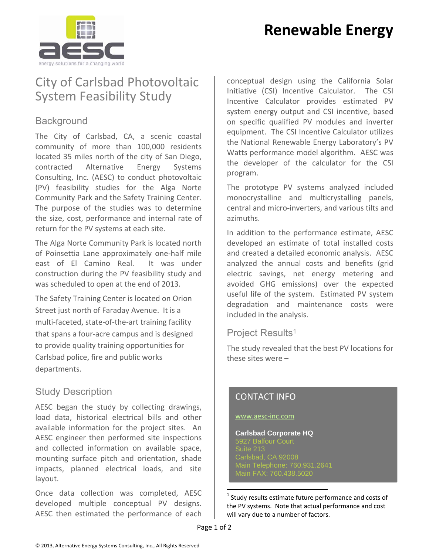# **Renewable Energy**



### City of Carlsbad Photovoltaic System Feasibility Study

#### **Background**

The City of Carlsbad, CA, a scenic coastal community of more than 100,000 residents located 35 miles north of the city of San Diego, contracted Alternative Energy Systems Consulting, Inc. (AESC) to conduct photovoltaic (PV) feasibility studies for the Alga Norte Community Park and the Safety Training Center. The purpose of the studies was to determine the size, cost, performance and internal rate of return for the PV systems at each site.

The Alga Norte Community Park is located north of Poinsettia Lane approximately one‐half mile east of El Camino Real. It was under construction during the PV feasibility study and was scheduled to open at the end of 2013.

The Safety Training Center is located on Orion Street just north of Faraday Avenue. It is a multi‐faceted, state‐of‐the‐art training facility that spans a four‐acre campus and is designed to provide quality training opportunities for Carlsbad police, fire and public works departments.

### Study Description

AESC began the study by collecting drawings, load data, historical electrical bills and other available information for the project sites. An AESC engineer then performed site inspections and collected information on available space, mounting surface pitch and orientation, shade impacts, planned electrical loads, and site layout.

Once data collection was completed, AESC developed multiple conceptual PV designs. AESC then estimated the performance of each conceptual design using the California Solar Initiative (CSI) Incentive Calculator. The CSI Incentive Calculator provides estimated PV system energy output and CSI incentive, based on specific qualified PV modules and inverter equipment. The CSI Incentive Calculator utilizes the National Renewable Energy Laboratory's PV Watts performance model algorithm. AESC was the developer of the calculator for the CSI program.

The prototype PV systems analyzed included monocrystalline and multicrystalling panels, central and micro‐inverters, and various tilts and azimuths.

In addition to the performance estimate, AESC developed an estimate of total installed costs and created a detailed economic analysis. AESC analyzed the annual costs and benefits (grid electric savings, net energy metering and avoided GHG emissions) over the expected useful life of the system. Estimated PV system degradation and maintenance costs were included in the analysis.

#### Project Results<sup>1</sup>

The study revealed that the best PV locations for these sites were –

#### CONTACT INFO

#### www.aesc‐inc.com

**Carlsbad Corporate HQ**  Suite 213 Carlsbad, CA 92008 ansbad, OA 02000<br>Iain Telephone: 760.931.2641 Main FAX: 760.438.5020

 $1$  Study results estimate future performance and costs of the PV systems. Note that actual performance and cost will vary due to a number of factors.